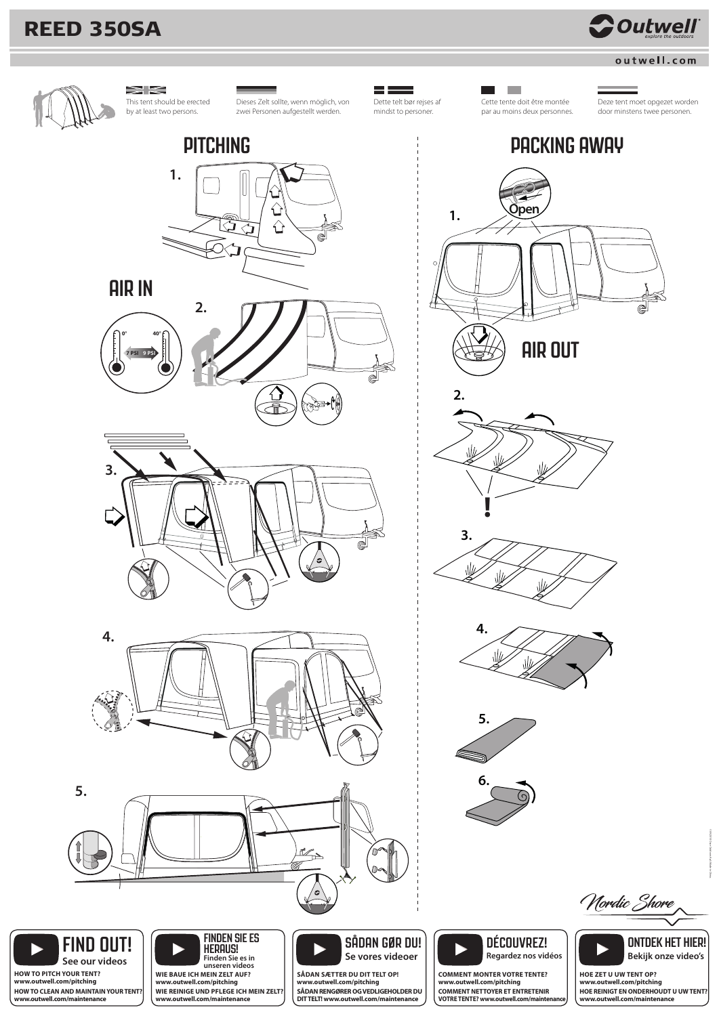# **REED 350SA**



# outwell.com



 $>\gtrapprox$ This tent should be erected by at least two persons.



Dieses Zelt sollte, wenn möglich, von zwei Personen aufgestellt werden.



**The State** Cette tente doit être montée par au moins deux personnes.

Dette telt bør rejses af mindst to personer.

Deze tent moet opgezet worden door minstens twee personen.